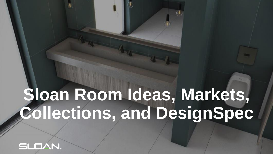# **Sloan Room Ideas, Markets, Collections, and DesignSpec**



.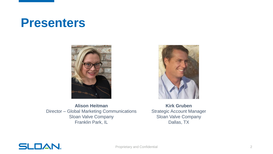### **Presenters**





**Alison Heitman** Director – Global Marketing Communications Sloan Valve Company Franklin Park, IL

**Kirk Gruben** Strategic Account Manager Sloan Valve Company Dallas, TX

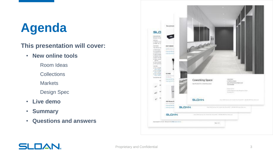# **Agenda**

#### **This presentation will cover:**

- **New online tools**
	- Room Ideas
	- **Collections**
	- **Markets**
	- Design Spec
- **Live demo**
- **Summary**
- **Questions and answers**



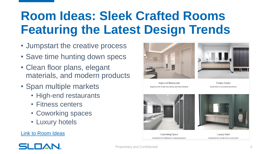# **Room Ideas: Sleek Crafted Rooms Featuring the Latest Design Trends**

- Jumpstart the creative process
- Save time hunting down specs
- Clean floor plans, elegant materials, and modern products
- Span multiple markets
	- High-end restaurants
	- Fitness centers
	- Coworking spaces
	- Luxury hotels

#### [Link to Room Ideas](https://www.sloan.com/design/inspiration/room-ideas)



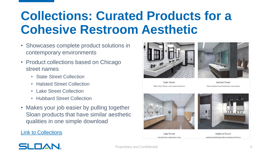## **Collections: Curated Products for a Cohesive Restroom Aesthetic**

- Showcases complete product solutions in contemporary environments
- Product collections based on Chicago street names
	- State Street Collection
	- Halsted Street Collection
	- Lake Street Collection
	- Hubbard Street Collection
- Makes your job easier by pulling together Sloan products that have similar aesthetic qualities in one simple download

#### [Link to Collections](https://www.sloan.com/design/inspiration/collections)



**State Street** Stark, clean fixtures, solar-powered faucets

**Halsted Street** Classic materials and hands-free convenience





**Lake Street** Circular forms and natural tones

**Hubbard Street** Sophisticated design with sustainable efficiency

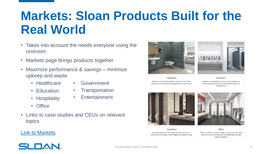## **Markets: Sloan Products Built for the Real World**

- Takes into account the needs everyone using the restroom
- Markets page brings products together
- Maximize performance & savings minimize upkeep and waste
	- Healthcare
- Government
- Education
- Transportation
- Hospitality
- Entertainment

- Office
- Links to case studies and CEUs on relevant topics





Healthcare Wherever hygiene and compliance are top-of-mind, Sloan products are customized for exceptional patient experiences.

Education Durable. Low maintenance. Practical. Sloan solutions for schools and universities are as hard-working as they are money-saving.





Hospitality Sloan welcomes guests with smart efficiencies that reduce consumption and upkeep, control hygiene, and enhance image

Office Whether aesthetics, budget, or hygiene are your priority, Sloan corporate styles are designed for low maintenance and high tenant satisfaction.

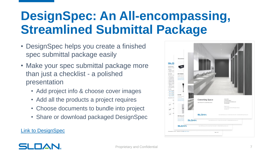# **DesignSpec: An All-encompassing, Streamlined Submittal Package**

- DesignSpec helps you create a finished spec submittal package easily
- Make your spec submittal package more than just a checklist - a polished presentation
	- Add project info & choose cover images
	- Add all the products a project requires
	- Choose documents to bundle into project
	- Share or download packaged DesignSpec

**[Link to DesignSpec](https://www.sloan.com/resources/product-resources/designspec)** 



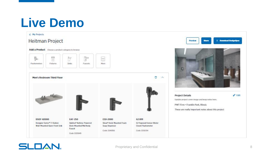### **Live Demo**

#### $\leftarrow$  My Projects

#### **Heitman Project**









 $\mathcal{N}$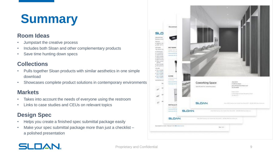# **Summary**

#### **Room Ideas**

- Jumpstart the creative process
- Includes both Sloan and other complementary products
- Save time hunting down specs

### **Collections**

- Pulls together Sloan products with similar aesthetics in one simple download
- Showcases complete product solutions in contemporary environments

#### **Markets**

- Takes into account the needs of everyone using the restroom
- Links to case studies and CEUs on relevant topics

### **Design Spec**

- Helps you create a finished spec submittal package easily
- Make your spec submittal package more than just a checklist a polished presentation



### **SLOAN**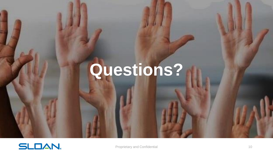# **Questions?**

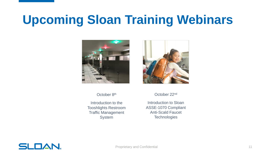### **Upcoming Sloan Training Webinars**



October 8<sup>th</sup>

Introduction to the Tooshlights Restroom Traffic Management System



October 22nd

Introduction to Sloan ASSE-1070 Compliant Anti-Scald Faucet **Technologies** 

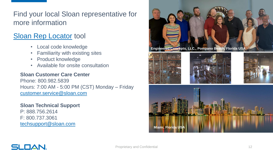Find your local Sloan representative for more information

### [Sloan Rep Locator](https://www.sloan.com/company/support/where-to-buy) tool

- Local code knowledge
- Familiarity with existing sites
- Product knowledge
- Available for onsite consultation

#### **Sloan Customer Care Center**

Phone: 800.982.5839 Hours: 7:00 AM - 5:00 PM (CST) Monday – Friday [customer.service@sloan.com](mailto:customer.service@sloan.com)

#### **Sloan Technical Support**

P: 888.756.2614 F: 800.737.3061 [techsupport@sloan.com](mailto:techsupport@sloan.com)



### SLOAN.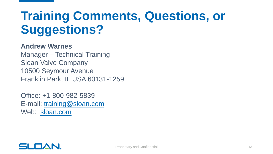# **Training Comments, Questions, or Suggestions?**

### **Andrew Warnes**

Manager – Technical Training Sloan Valve Company 10500 Seymour Avenue Franklin Park, IL USA 60131-1259

Office: +1-800-982-5839 E-mail: [training@sloan.com](mailto:training@sloan.com) Web: [sloan.com](http://www.sloan.com/)